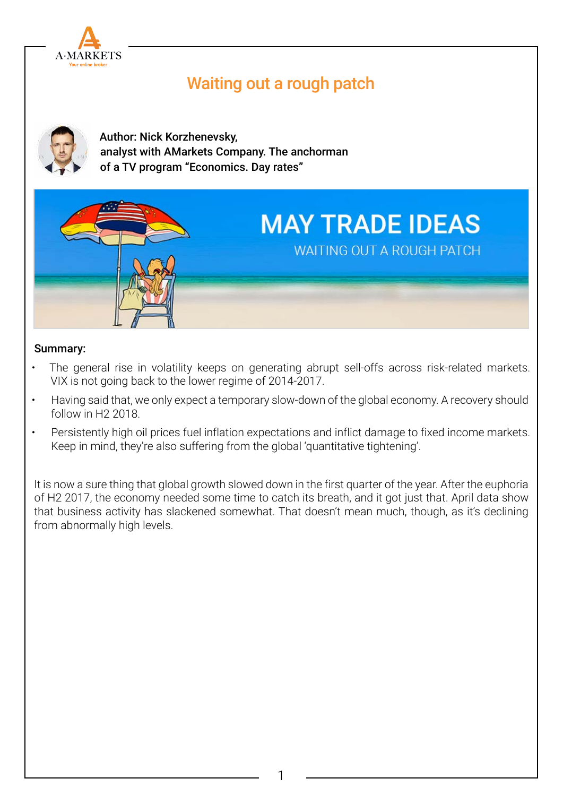

# Waiting out a rough patch



Author: Nick Korzhenevsky, analyst with AMarkets Company. The anchorman of a TV program "Economics. Day rates"



#### Summary:

- The general rise in volatility keeps on generating abrupt sell-offs across risk-related markets. VIX is not going back to the lower regime of 2014-2017.
- Having said that, we only expect a temporary slow-down of the global economy. A recovery should follow in H2 2018.
- Persistently high oil prices fuel inflation expectations and inflict damage to fixed income markets. Keep in mind, they're also suffering from the global 'quantitative tightening'.

It is now a sure thing that global growth slowed down in the first quarter of the year. After the euphoria of H2 2017, the economy needed some time to catch its breath, and it got just that. April data show that business activity has slackened somewhat. That doesn't mean much, though, as it's declining from abnormally high levels.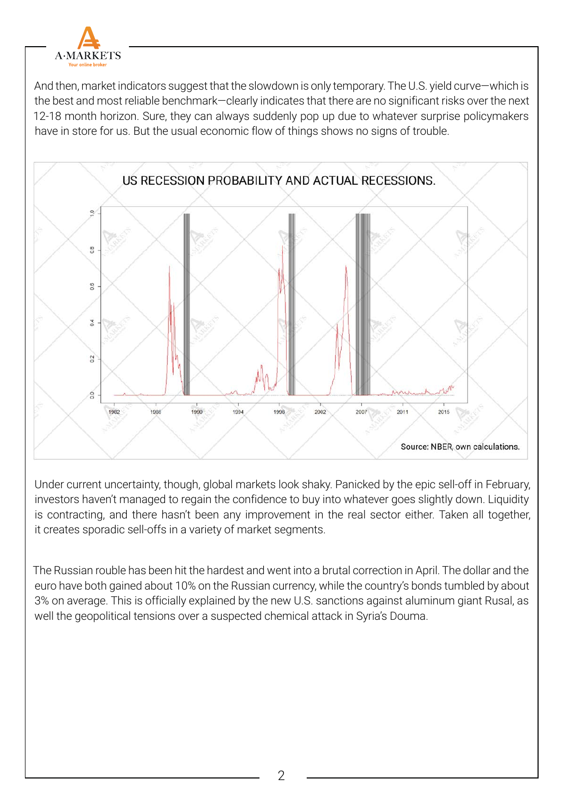

And then, market indicators suggest that the slowdown is only temporary. The U.S. yield curve—which is the best and most reliable benchmark—clearly indicates that there are no significant risks over the next 12-18 month horizon. Sure, they can always suddenly pop up due to whatever surprise policymakers have in store for us. But the usual economic flow of things shows no signs of trouble.



Under current uncertainty, though, global markets look shaky. Panicked by the epic sell-off in February, investors haven't managed to regain the confidence to buy into whatever goes slightly down. Liquidity is contracting, and there hasn't been any improvement in the real sector either. Taken all together, it creates sporadic sell-offs in a variety of market segments.

The Russian rouble has been hit the hardest and went into a brutal correction in April. The dollar and the euro have both gained about 10% on the Russian currency, while the country's bonds tumbled by about 3% on average. This is officially explained by the new U.S. sanctions against aluminum giant Rusal, as well the geopolitical tensions over a suspected chemical attack in Syria's Douma.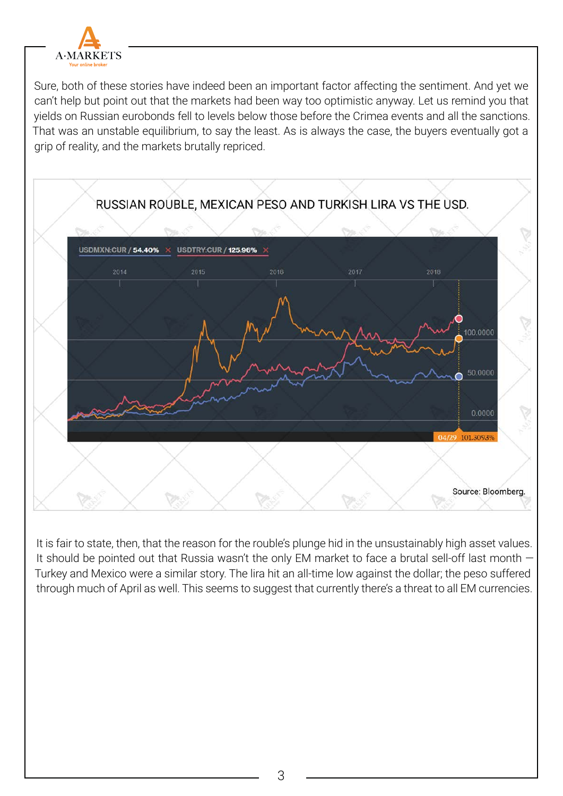

Sure, both of these stories have indeed been an important factor affecting the sentiment. And yet we can't help but point out that the markets had been way too optimistic anyway. Let us remind you that yields on Russian eurobonds fell to levels below those before the Crimea events and all the sanctions. That was an unstable equilibrium, to say the least. As is always the case, the buyers eventually got a grip of reality, and the markets brutally repriced.



It is fair to state, then, that the reason for the rouble's plunge hid in the unsustainably high asset values. It should be pointed out that Russia wasn't the only EM market to face a brutal sell-off last month — Turkey and Mexico were a similar story. The lira hit an all-time low against the dollar; the peso suffered through much of April as well. This seems to suggest that currently there's a threat to all EM currencies.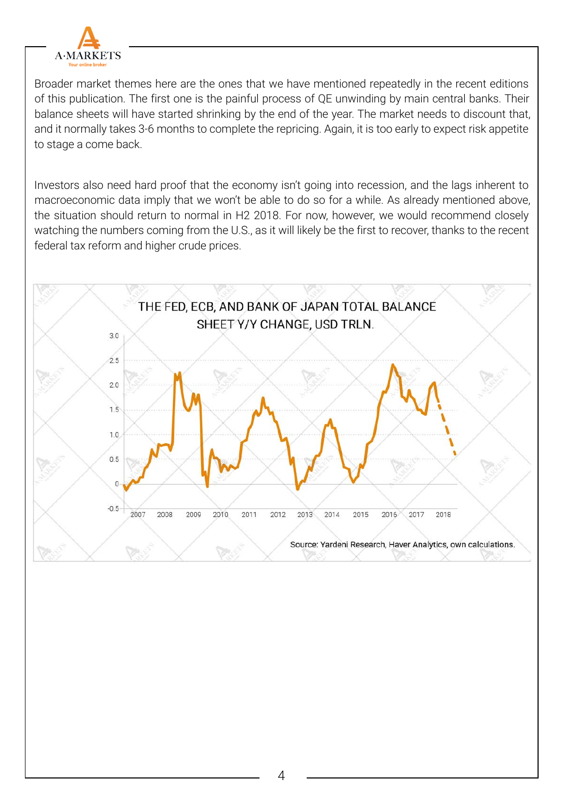

Broader market themes here are the ones that we have mentioned repeatedly in the recent editions of this publication. The first one is the painful process of QE unwinding by main central banks. Their balance sheets will have started shrinking by the end of the year. The market needs to discount that, and it normally takes 3-6 months to complete the repricing. Again, it is too early to expect risk appetite to stage a come back.

Investors also need hard proof that the economy isn't going into recession, and the lags inherent to macroeconomic data imply that we won't be able to do so for a while. As already mentioned above, the situation should return to normal in H2 2018. For now, however, we would recommend closely watching the numbers coming from the U.S., as it will likely be the first to recover, thanks to the recent federal tax reform and higher crude prices.

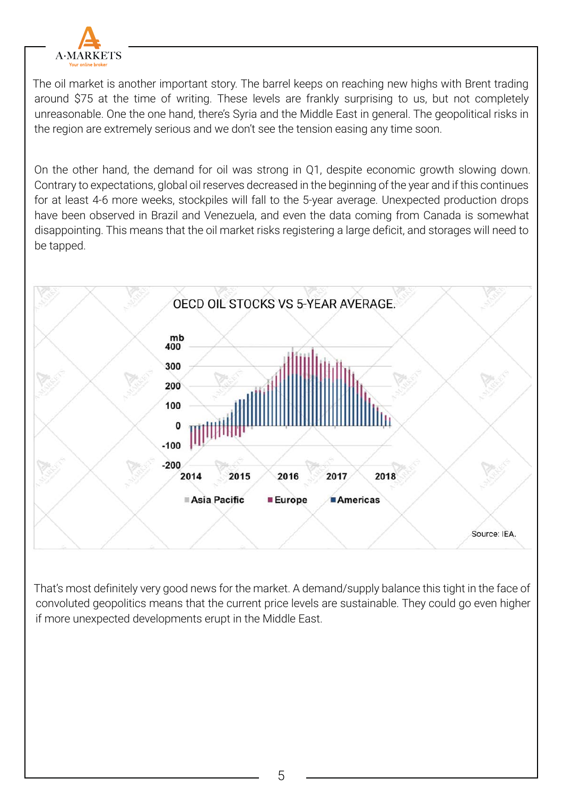

The oil market is another important story. The barrel keeps on reaching new highs with Brent trading around \$75 at the time of writing. These levels are frankly surprising to us, but not completely unreasonable. One the one hand, there's Syria and the Middle East in general. The geopolitical risks in the region are extremely serious and we don't see the tension easing any time soon.

On the other hand, the demand for oil was strong in Q1, despite economic growth slowing down. Contrary to expectations, global oil reserves decreased in the beginning of the year and if this continues for at least 4-6 more weeks, stockpiles will fall to the 5-year average. Unexpected production drops have been observed in Brazil and Venezuela, and even the data coming from Canada is somewhat disappointing. This means that the oil market risks registering a large deficit, and storages will need to be tapped.



That's most definitely very good news for the market. A demand/supply balance this tight in the face of convoluted geopolitics means that the current price levels are sustainable. They could go even higher if more unexpected developments erupt in the Middle East.

5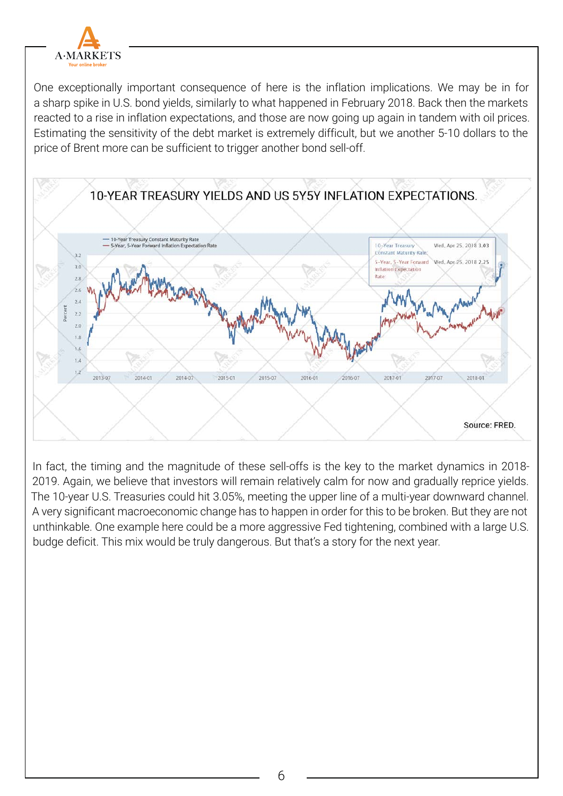

One exceptionally important consequence of here is the inflation implications. We may be in for a sharp spike in U.S. bond yields, similarly to what happened in February 2018. Back then the markets reacted to a rise in inflation expectations, and those are now going up again in tandem with oil prices. Estimating the sensitivity of the debt market is extremely difficult, but we another 5-10 dollars to the price of Brent more can be sufficient to trigger another bond sell-off.



In fact, the timing and the magnitude of these sell-offs is the key to the market dynamics in 2018- 2019. Again, we believe that investors will remain relatively calm for now and gradually reprice yields. The 10-year U.S. Treasuries could hit 3.05%, meeting the upper line of a multi-year downward channel. A very significant macroeconomic change has to happen in order for this to be broken. But they are not unthinkable. One example here could be a more aggressive Fed tightening, combined with a large U.S. budge deficit. This mix would be truly dangerous. But that's a story for the next year.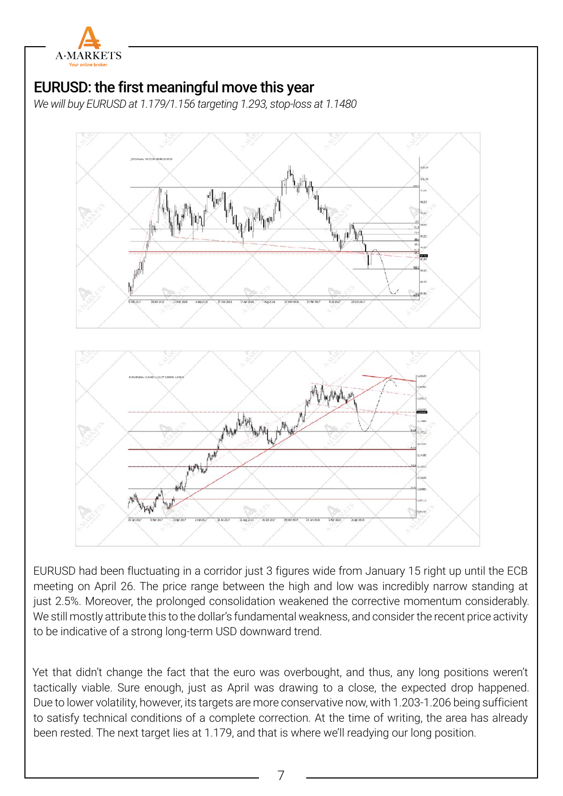

### EURUSD: the first meaningful move this year

*We will buy EURUSD at 1.179/1.156 targeting 1.293, stop-loss at 1.1480*



EURUSD had been fluctuating in a corridor just 3 figures wide from January 15 right up until the ECB meeting on April 26. The price range between the high and low was incredibly narrow standing at just 2.5%. Moreover, the prolonged consolidation weakened the corrective momentum considerably. We still mostly attribute this to the dollar's fundamental weakness, and consider the recent price activity to be indicative of a strong long-term USD downward trend.

Yet that didn't change the fact that the euro was overbought, and thus, any long positions weren't tactically viable. Sure enough, just as April was drawing to a close, the expected drop happened. Due to lower volatility, however, its targets are more conservative now, with 1.203-1.206 being sufficient to satisfy technical conditions of a complete correction. At the time of writing, the area has already been rested. The next target lies at 1.179, and that is where we'll readying our long position.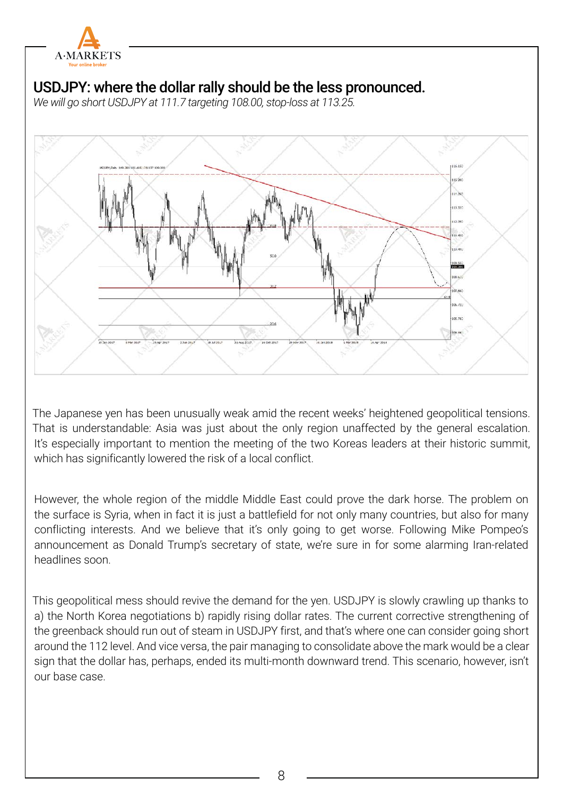

# USDJPY: where the dollar rally should be the less pronounced.

*We will go short USDJPY at 111.7 targeting 108.00, stop-loss at 113.25.*



The Japanese yen has been unusually weak amid the recent weeks' heightened geopolitical tensions. That is understandable: Asia was just about the only region unaffected by the general escalation. It's especially important to mention the meeting of the two Koreas leaders at their historic summit, which has significantly lowered the risk of a local conflict.

However, the whole region of the middle Middle East could prove the dark horse. The problem on the surface is Syria, when in fact it is just a battlefield for not only many countries, but also for many conflicting interests. And we believe that it's only going to get worse. Following Mike Pompeo's announcement as Donald Trump's secretary of state, we're sure in for some alarming Iran-related headlines soon.

This geopolitical mess should revive the demand for the yen. USDJPY is slowly crawling up thanks to a) the North Korea negotiations b) rapidly rising dollar rates. The current corrective strengthening of the greenback should run out of steam in USDJPY first, and that's where one can consider going short around the 112 level. And vice versa, the pair managing to consolidate above the mark would be a clear sign that the dollar has, perhaps, ended its multi-month downward trend. This scenario, however, isn't our base case.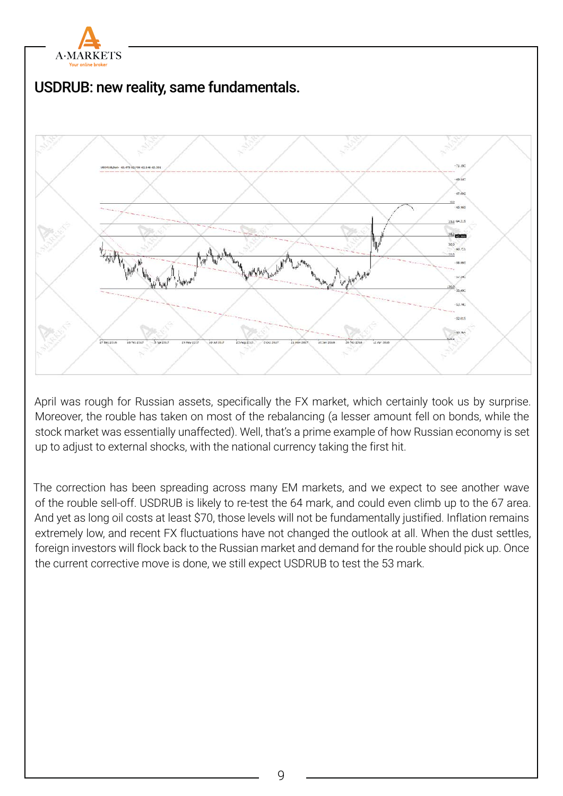

## USDRUB: new reality, same fundamentals.



April was rough for Russian assets, specifically the FX market, which certainly took us by surprise. Moreover, the rouble has taken on most of the rebalancing (a lesser amount fell on bonds, while the stock market was essentially unaffected). Well, that's a prime example of how Russian economy is set up to adjust to external shocks, with the national currency taking the first hit.

The correction has been spreading across many EM markets, and we expect to see another wave of the rouble sell-off. USDRUB is likely to re-test the 64 mark, and could even climb up to the 67 area. And yet as long oil costs at least \$70, those levels will not be fundamentally justified. Inflation remains extremely low, and recent FX fluctuations have not changed the outlook at all. When the dust settles, foreign investors will flock back to the Russian market and demand for the rouble should pick up. Once the current corrective move is done, we still expect USDRUB to test the 53 mark.

9